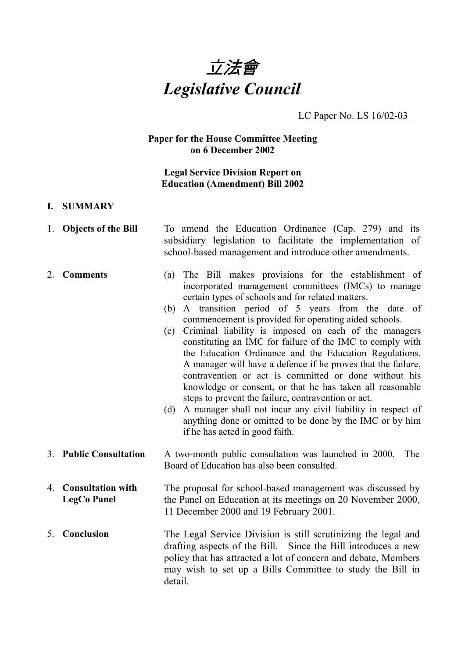

#### LC Paper No. LS 16/02-03

#### **Paper for the House Committee Meeting on 6 December 2002**

## **Legal Service Division Report on Education (Amendment) Bill 2002**

#### **I. SUMMARY**

- 1. **Objects of the Bill** To amend the Education Ordinance (Cap. 279) and its subsidiary legislation to facilitate the implementation of school-based management and introduce other amendments.
- 2. **Comments** (a) The Bill makes provisions for the establishment of incorporated management committees (IMCs) to manage certain types of schools and for related matters.
	- (b) A transition period of 5 years from the date of commencement is provided for operating aided schools.
	- (c) Criminal liability is imposed on each of the managers constituting an IMC for failure of the IMC to comply with the Education Ordinance and the Education Regulations. A manager will have a defence if he proves that the failure, contravention or act is committed or done without his knowledge or consent, or that he has taken all reasonable steps to prevent the failure, contravention or act.
	- (d) A manager shall not incur any civil liability in respect of anything done or omitted to be done by the IMC or by him if he has acted in good faith.
- 3. **Public Consultation** A two-month public consultation was launched in 2000. The Board of Education has also been consulted.
- 4. **Consultation with LegCo Panel** The proposal for school-based management was discussed by the Panel on Education at its meetings on 20 November 2000, 11 December 2000 and 19 February 2001.
- 5. **Conclusion** The Legal Service Division is still scrutinizing the legal and drafting aspects of the Bill. Since the Bill introduces a new policy that has attracted a lot of concern and debate, Members may wish to set up a Bills Committee to study the Bill in detail.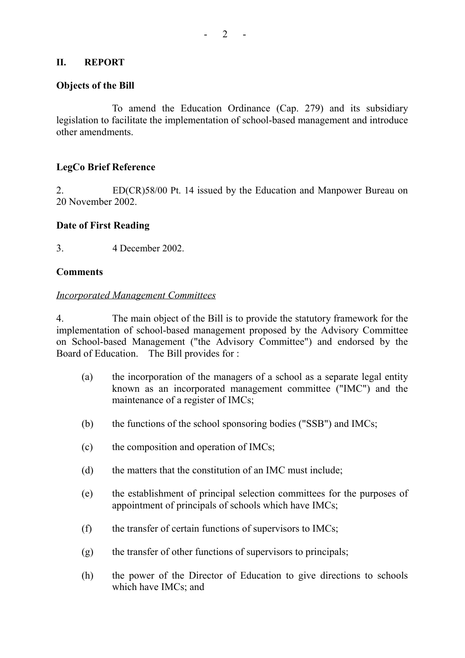## **II. REPORT**

#### **Objects of the Bill**

To amend the Education Ordinance (Cap. 279) and its subsidiary legislation to facilitate the implementation of school-based management and introduce other amendments.

## **LegCo Brief Reference**

2. ED(CR)58/00 Pt. 14 issued by the Education and Manpower Bureau on 20 November 2002.

## **Date of First Reading**

3. 4 December 2002.

#### **Comments**

#### *Incorporated Management Committees*

4. The main object of the Bill is to provide the statutory framework for the implementation of school-based management proposed by the Advisory Committee on School-based Management ("the Advisory Committee") and endorsed by the Board of Education. The Bill provides for :

- (a) the incorporation of the managers of a school as a separate legal entity known as an incorporated management committee ("IMC") and the maintenance of a register of IMCs;
- (b) the functions of the school sponsoring bodies ("SSB") and IMCs;
- (c) the composition and operation of IMCs;
- (d) the matters that the constitution of an IMC must include;
- (e) the establishment of principal selection committees for the purposes of appointment of principals of schools which have IMCs;
- (f) the transfer of certain functions of supervisors to IMCs;
- (g) the transfer of other functions of supervisors to principals;
- (h) the power of the Director of Education to give directions to schools which have IMCs; and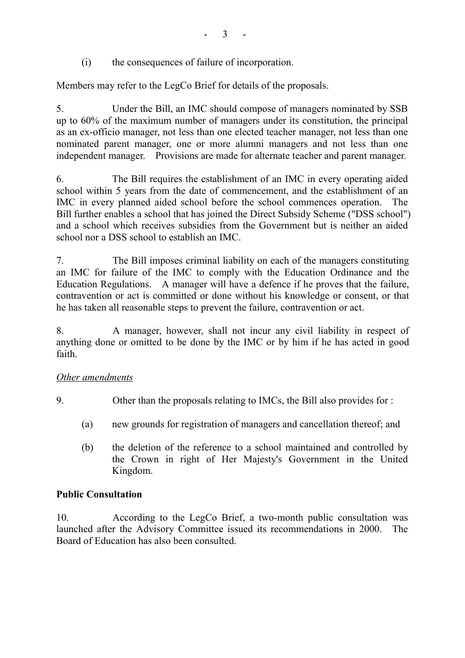(i) the consequences of failure of incorporation.

Members may refer to the LegCo Brief for details of the proposals.

5. Under the Bill, an IMC should compose of managers nominated by SSB up to 60% of the maximum number of managers under its constitution, the principal as an ex-officio manager, not less than one elected teacher manager, not less than one nominated parent manager, one or more alumni managers and not less than one independent manager. Provisions are made for alternate teacher and parent manager.

6. The Bill requires the establishment of an IMC in every operating aided school within 5 years from the date of commencement, and the establishment of an IMC in every planned aided school before the school commences operation. The Bill further enables a school that has joined the Direct Subsidy Scheme ("DSS school") and a school which receives subsidies from the Government but is neither an aided school nor a DSS school to establish an IMC.

7. The Bill imposes criminal liability on each of the managers constituting an IMC for failure of the IMC to comply with the Education Ordinance and the Education Regulations. A manager will have a defence if he proves that the failure, contravention or act is committed or done without his knowledge or consent, or that he has taken all reasonable steps to prevent the failure, contravention or act.

8. A manager, however, shall not incur any civil liability in respect of anything done or omitted to be done by the IMC or by him if he has acted in good faith.

# *Other amendments*

9. Other than the proposals relating to IMCs, the Bill also provides for :

- (a) new grounds for registration of managers and cancellation thereof; and
- (b) the deletion of the reference to a school maintained and controlled by the Crown in right of Her Majesty's Government in the United Kingdom.

# **Public Consultation**

10. According to the LegCo Brief, a two-month public consultation was launched after the Advisory Committee issued its recommendations in 2000. The Board of Education has also been consulted.